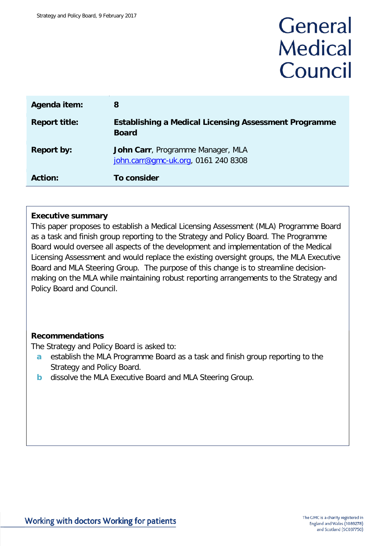# General **Medical** Council

| Agenda item:         | 8                                                                            |
|----------------------|------------------------------------------------------------------------------|
| <b>Report title:</b> | <b>Establishing a Medical Licensing Assessment Programme</b><br><b>Board</b> |
| <b>Report by:</b>    | John Carr, Programme Manager, MLA<br>john.carr@gmc-uk.org, 0161 240 8308     |
| <b>Action:</b>       | <b>To consider</b>                                                           |

# **Executive summary**

This paper proposes to establish a Medical Licensing Assessment (MLA) Programme Board as a task and finish group reporting to the Strategy and Policy Board. The Programme Board would oversee all aspects of the development and implementation of the Medical Licensing Assessment and would replace the existing oversight groups, the MLA Executive Board and MLA Steering Group. The purpose of this change is to streamline decisionmaking on the MLA while maintaining robust reporting arrangements to the Strategy and Policy Board and Council.

# **Recommendations**

The Strategy and Policy Board is asked to:

- **a** establish the MLA Programme Board as a task and finish group reporting to the Strategy and Policy Board.
- **b** dissolve the MLA Executive Board and MLA Steering Group.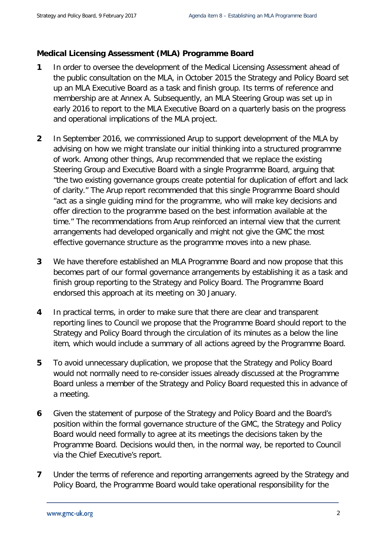# **Medical Licensing Assessment (MLA) Programme Board**

- **1** In order to oversee the development of the Medical Licensing Assessment ahead of the public consultation on the MLA, in October 2015 the Strategy and Policy Board set up an MLA Executive Board as a task and finish group. Its terms of reference and membership are at Annex A. Subsequently, an MLA Steering Group was set up in early 2016 to report to the MLA Executive Board on a quarterly basis on the progress and operational implications of the MLA project.
- **2** In September 2016, we commissioned Arup to support development of the MLA by advising on how we might translate our initial thinking into a structured programme of work. Among other things, Arup recommended that we replace the existing Steering Group and Executive Board with a single Programme Board, arguing that "the two existing governance groups create potential for duplication of effort and lack of clarity." The Arup report recommended that this single Programme Board should "act as a single guiding mind for the programme, who will make key decisions and offer direction to the programme based on the best information available at the time." The recommendations from Arup reinforced an internal view that the current arrangements had developed organically and might not give the GMC the most effective governance structure as the programme moves into a new phase.
- **3** We have therefore established an MLA Programme Board and now propose that this becomes part of our formal governance arrangements by establishing it as a task and finish group reporting to the Strategy and Policy Board. The Programme Board endorsed this approach at its meeting on 30 January.
- **4** In practical terms, in order to make sure that there are clear and transparent reporting lines to Council we propose that the Programme Board should report to the Strategy and Policy Board through the circulation of its minutes as a below the line item, which would include a summary of all actions agreed by the Programme Board.
- **5** To avoid unnecessary duplication, we propose that the Strategy and Policy Board would not normally need to re-consider issues already discussed at the Programme Board unless a member of the Strategy and Policy Board requested this in advance of a meeting.
- **6** Given the statement of purpose of the Strategy and Policy Board and the Board's position within the formal governance structure of the GMC, the Strategy and Policy Board would need formally to agree at its meetings the decisions taken by the Programme Board. Decisions would then, in the normal way, be reported to Council via the Chief Executive's report.
- **7** Under the terms of reference and reporting arrangements agreed by the Strategy and Policy Board, the Programme Board would take operational responsibility for the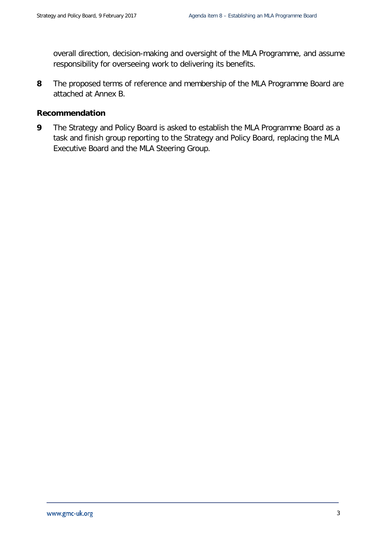overall direction, decision-making and oversight of the MLA Programme, and assume responsibility for overseeing work to delivering its benefits.

**8** The proposed terms of reference and membership of the MLA Programme Board are attached at Annex B.

# **Recommendation**

**9** The Strategy and Policy Board is asked to establish the MLA Programme Board as a task and finish group reporting to the Strategy and Policy Board, replacing the MLA Executive Board and the MLA Steering Group.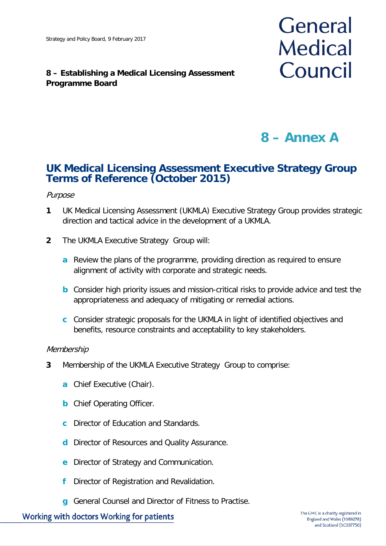# **8 – Establishing a Medical Licensing Assessment Programme Board**



# **8 – Annex A**

# **UK Medical Licensing Assessment Executive Strategy Group Terms of Reference (October 2015)**

### Purpose

- **1** UK Medical Licensing Assessment (UKMLA) Executive Strategy Group provides strategic direction and tactical advice in the development of a UKMLA.
- **2** The UKMLA Executive Strategy Group will:
	- **a** Review the plans of the programme, providing direction as required to ensure alignment of activity with corporate and strategic needs.
	- **b** Consider high priority issues and mission-critical risks to provide advice and test the appropriateness and adequacy of mitigating or remedial actions.
	- **c** Consider strategic proposals for the UKMLA in light of identified objectives and benefits, resource constraints and acceptability to key stakeholders.

#### Membership

- **3** Membership of the UKMLA Executive Strategy Group to comprise:
	- **a** Chief Executive (Chair).
	- **b** Chief Operating Officer.
	- **c** Director of Education and Standards.
	- **d** Director of Resources and Quality Assurance.
	- **e** Director of Strategy and Communication.
	- **f** Director of Registration and Revalidation.
	- **g** General Counsel and Director of Fitness to Practise.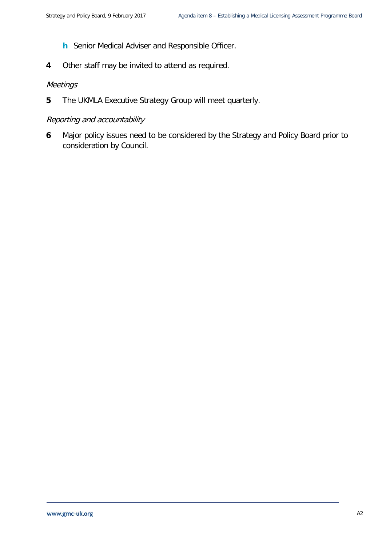- **h** Senior Medical Adviser and Responsible Officer.
- **4** Other staff may be invited to attend as required.

### **Meetings**

**5** The UKMLA Executive Strategy Group will meet quarterly.

# Reporting and accountability

**6** Major policy issues need to be considered by the Strategy and Policy Board prior to consideration by Council.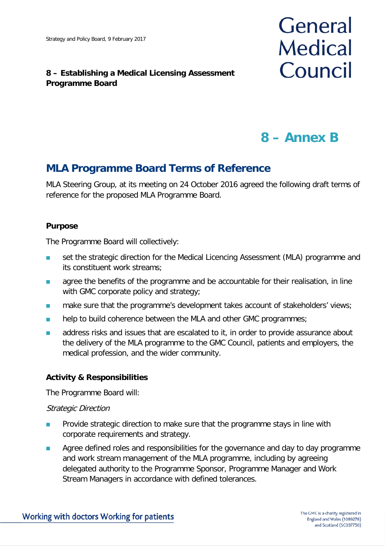# **8 – Establishing a Medical Licensing Assessment Programme Board**



# **8 – Annex B**

# **MLA Programme Board Terms of Reference**

MLA Steering Group, at its meeting on 24 October 2016 agreed the following draft terms of reference for the proposed MLA Programme Board.

# **Purpose**

The Programme Board will collectively:

- set the strategic direction for the Medical Licencing Assessment (MLA) programme and its constituent work streams;
- **agree the benefits of the programme and be accountable for their realisation, in line** with GMC corporate policy and strategy;
- **numake sure that the programme's development takes account of stakeholders' views;**
- **help to build coherence between the MLA and other GMC programmes;**
- **a** address risks and issues that are escalated to it, in order to provide assurance about the delivery of the MLA programme to the GMC Council, patients and employers, the medical profession, and the wider community.

# **Activity & Responsibilities**

The Programme Board will:

# Strategic Direction

- **Provide strategic direction to make sure that the programme stays in line with** corporate requirements and strategy.
- **Agree defined roles and responsibilities for the governance and day to day programme** and work stream management of the MLA programme, including by agreeing delegated authority to the Programme Sponsor, Programme Manager and Work Stream Managers in accordance with defined tolerances.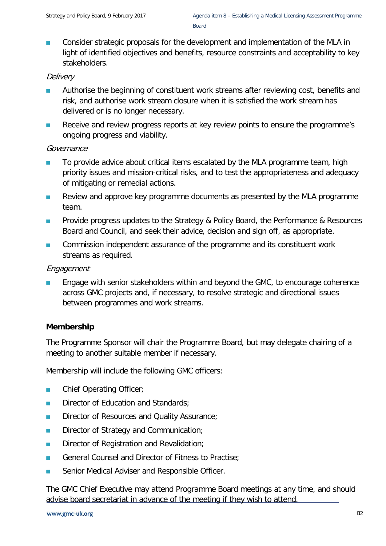Board

**Consider strategic proposals for the development and implementation of the MLA in** light of identified objectives and benefits, resource constraints and acceptability to key stakeholders.

# **Delivery**

- **Authorise the beginning of constituent work streams after reviewing cost, benefits and** risk, and authorise work stream closure when it is satisfied the work stream has delivered or is no longer necessary.
- Receive and review progress reports at key review points to ensure the programme's ongoing progress and viability.

# Governance

- To provide advice about critical items escalated by the MLA programme team, high priority issues and mission-critical risks, and to test the appropriateness and adequacy of mitigating or remedial actions.
- **Review and approve key programme documents as presented by the MLA programme** team.
- **Provide progress updates to the Strategy & Policy Board, the Performance & Resources** Board and Council, and seek their advice, decision and sign off, as appropriate.
- **EXECOMMISSION Independent assurance of the programme and its constituent work** streams as required.

# Engagement

**Engage with senior stakeholders within and beyond the GMC, to encourage coherence** across GMC projects and, if necessary, to resolve strategic and directional issues between programmes and work streams.

# **Membership**

The Programme Sponsor will chair the Programme Board, but may delegate chairing of a meeting to another suitable member if necessary.

Membership will include the following GMC officers:

- **Chief Operating Officer;**
- **Director of Education and Standards;**
- **Director of Resources and Quality Assurance;**
- Director of Strategy and Communication;
- **Director of Registration and Revalidation:**
- General Counsel and Director of Fitness to Practise;
- **Senior Medical Adviser and Responsible Officer.**

The GMC Chief Executive may attend Programme Board meetings at any time, and should advise board secretariat in advance of the meeting if they wish to attend.